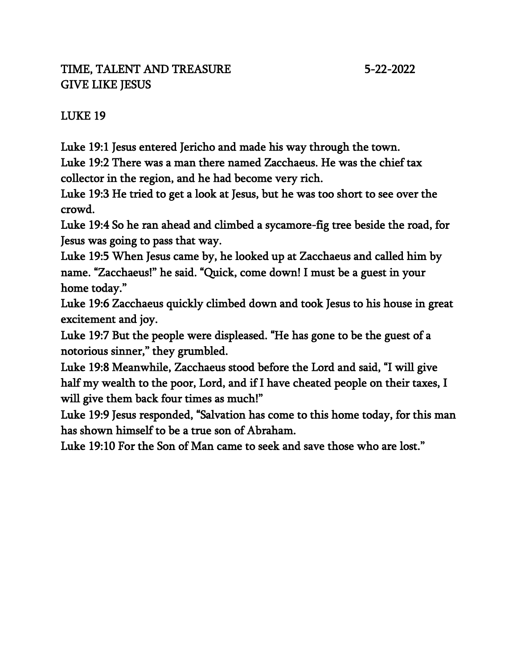## TIME, TALENT AND TREASURE 5-22-2022 GIVE LIKE JESUS

# LUKE 19

Luke 19:1 Jesus entered Jericho and made his way through the town.

Luke 19:2 There was a man there named Zacchaeus. He was the chief tax collector in the region, and he had become very rich.

Luke 19:3 He tried to get a look at Jesus, but he was too short to see over the crowd.

Luke 19:4 So he ran ahead and climbed a sycamore-fig tree beside the road, for Jesus was going to pass that way.

Luke 19:5 When Jesus came by, he looked up at Zacchaeus and called him by name. "Zacchaeus!" he said. "Quick, come down! I must be a guest in your home today."

Luke 19:6 Zacchaeus quickly climbed down and took Jesus to his house in great excitement and joy.

Luke 19:7 But the people were displeased. "He has gone to be the guest of a notorious sinner," they grumbled.

Luke 19:8 Meanwhile, Zacchaeus stood before the Lord and said, "I will give half my wealth to the poor, Lord, and if I have cheated people on their taxes, I will give them back four times as much!"

Luke 19:9 Jesus responded, "Salvation has come to this home today, for this man has shown himself to be a true son of Abraham.

Luke 19:10 For the Son of Man came to seek and save those who are lost."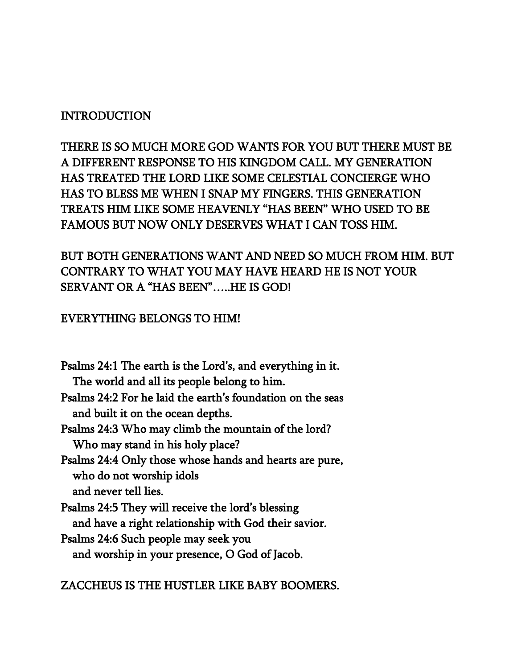## INTRODUCTION

THERE IS SO MUCH MORE GOD WANTS FOR YOU BUT THERE MUST BE A DIFFERENT RESPONSE TO HIS KINGDOM CALL. MY GENERATION HAS TREATED THE LORD LIKE SOME CELESTIAL CONCIERGE WHO HAS TO BLESS ME WHEN I SNAP MY FINGERS. THIS GENERATION TREATS HIM LIKE SOME HEAVENLY "HAS BEEN" WHO USED TO BE FAMOUS BUT NOW ONLY DESERVES WHAT I CAN TOSS HIM.

## BUT BOTH GENERATIONS WANT AND NEED SO MUCH FROM HIM. BUT CONTRARY TO WHAT YOU MAY HAVE HEARD HE IS NOT YOUR SERVANT OR A "HAS BEEN"…..HE IS GOD!

#### EVERYTHING BELONGS TO HIM!

- Psalms 24:1 The earth is the Lord's, and everything in it. The world and all its people belong to him.
- Psalms 24:2 For he laid the earth's foundation on the seas and built it on the ocean depths.
- Psalms 24:3 Who may climb the mountain of the lord? Who may stand in his holy place?
- Psalms 24:4 Only those whose hands and hearts are pure, who do not worship idols and never tell lies.
- Psalms 24:5 They will receive the lord's blessing and have a right relationship with God their savior.
- Psalms 24:6 Such people may seek you and worship in your presence, O God of Jacob.

#### ZACCHEUS IS THE HUSTLER LIKE BABY BOOMERS.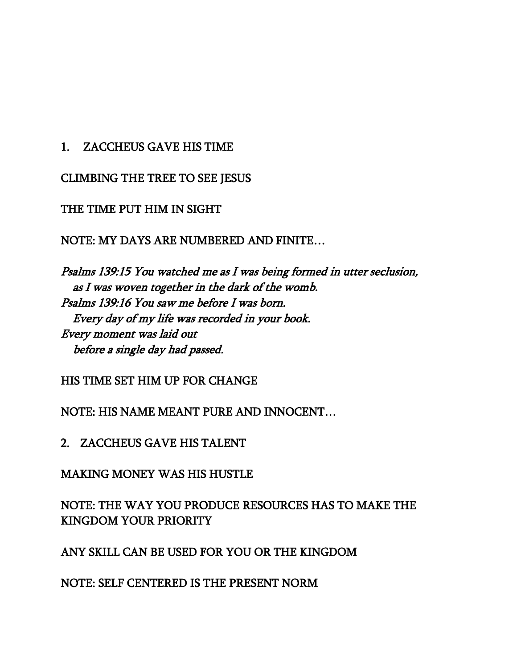### 1. ZACCHEUS GAVE HIS TIME

CLIMBING THE TREE TO SEE JESUS

#### THE TIME PUT HIM IN SIGHT

NOTE: MY DAYS ARE NUMBERED AND FINITE…

Psalms 139:15 You watched me as I was being formed in utter seclusion, as I was woven together in the dark of the womb. Psalms 139:16 You saw me before I was born. Every day of my life was recorded in your book. Every moment was laid out before a single day had passed.

HIS TIME SET HIM UP FOR CHANGE

NOTE: HIS NAME MEANT PURE AND INNOCENT…

2. ZACCHEUS GAVE HIS TALENT

MAKING MONEY WAS HIS HUSTLE

NOTE: THE WAY YOU PRODUCE RESOURCES HAS TO MAKE THE KINGDOM YOUR PRIORITY

ANY SKILL CAN BE USED FOR YOU OR THE KINGDOM

NOTE: SELF CENTERED IS THE PRESENT NORM